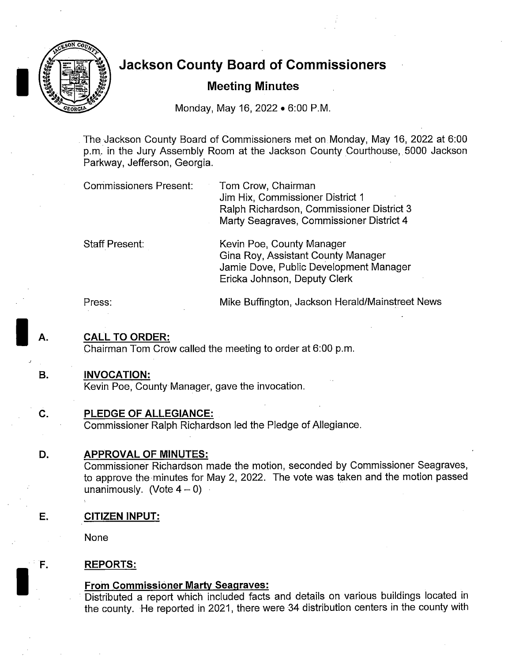

# Jackson County Board of Commissioners **the County Board of Correct Section**<br>Meeting Minutes

Monday, May 16, 2022 • 6:00 P.M.

The Jackson County Board of Commissioners met on Monday, May 16, 2022 at 6: 00 p. m. in the Jury Assembly Room at the Jackson County Courthouse, 5000 Jackson Parkway, Jefferson, Georgia.

| <b>Commissioners Present:</b> | Tom Crow, Chairman                        |
|-------------------------------|-------------------------------------------|
|                               | Jim Hix, Commissioner District 1          |
|                               | Ralph Richardson, Commissioner District 3 |
|                               | Marty Seagraves, Commissioner District 4  |

Staff Present: Kevin Poe, County Manager Gina Roy, Assistant County Manager Jamie Dove, Public Development Manager Ericka Johnson, Deputy Clerk

Press: Mike Buffington, Jackson Herald/Mainstreet News

## **CALL TO ORDER:**

Chairman Tom Crow called the meeting to order at 6:00 p.m.

#### B. INVOCATION:

J

Kevin Poe, County Manager, gave the invocation.

## C. PLEDGE OF ALLEGIANCE:

Commissioner Ralph Richardson led the Pledge of Allegiance.

## D. APPROVAL OF MINUTES:

Commissioner Richardson made the motion, seconded by Commissioner Seagraves, to approve the minutes for May 2, 2022. The vote was taken and the motion passed unanimously. (Vote  $4 - 0$ )

## E. CITIZEN INPUT:

None

## F. REPORTS:

## From Commissioner Marty Seagraves:

Distributed a report which included facts and details on various buildings located in the county. He reported in 2021, there were <sup>34</sup> distribution centers in the county with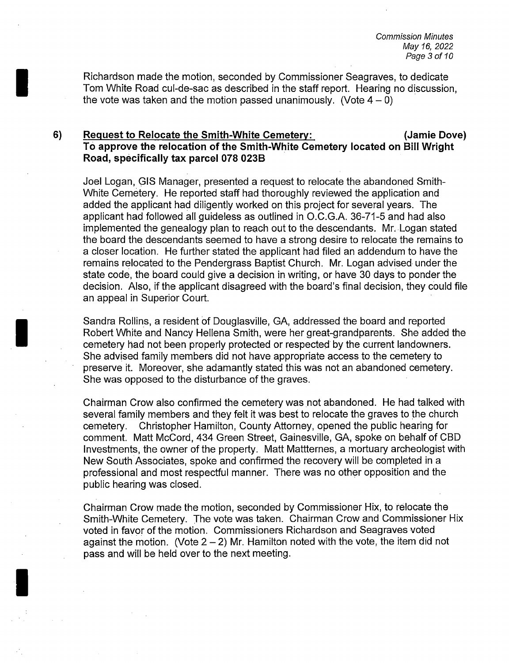Commission Minutes May 16, 2022 Page 3 of 10

Richardson made the motion, seconded by Commissioner Seagraves, to dedicate Tom White Road cul-de-sac as described in the staff report. Hearing no discussion, the vote was taken and the motion passed unanimously. (Vote  $4-0$ )

#### 6) Request to Relocate the Smith-White Cemetery: (Jamie Dove) To approve the relocation of the Smith-White Cemetery located on Bill Wright Road, specifically tax parcel 078 023B

Joel Logan, GIS Manager, presented a request to relocate the abandoned Smith-White Cemetery. He reported staff had thoroughly reviewed the application and added the applicant had diligently worked on this project for several years. The applicant had followed all guideless as outlined in O.C.G.A. 36-71-5 and had also implemented the genealogy plan to reach out to the descendants. Mr. Logan stated the board the descendants seemed to have a strong desire to relocate the remains to a closer location. He further stated the applicant had filed an addendum to have the remains relocated to the Pendergrass Baptist Church. Mr. Logan advised under the state code, the board could give a decision in writing, or have 30 days to ponder the decision. Also, if the applicant disagreed with the board's final decision, they could file an appeal in Superior Court.

Sandra Rollins, a resident of Douglasville, GA, addressed the board and reported Robert White and Nancy Hellena Smith, were her great-grandparents. She added the cemetery had not been properly protected or respected by the current landowners. She advised family members did not have appropriate access to the cemetery to preserve it. Moreover, she adamantly stated this was not an abandoned cemetery. She was opposed to the disturbance of the graves.

Chairman Crow also confirmed the cemetery was not abandoned. He had talked with several family members and they felt it was best to relocate the graves to the church<br>cemetery. Christopher Hamilton. County Attorney, opened the public hearing for Christopher Hamilton, County Attorney, opened the public hearing for comment. Matt McCord, 434 Green Street, Gainesville, GA, spoke on behalf of CBD Investments, the owner of the property. Matt Mattternes, a mortuary archeologist with New South Associates, spoke and confirmed the recovery will be completed in a professional and most respectful manner. There was no other opposition and the public hearing was closed.

Chairman Crow made the motion, seconded by Commissioner Hix, to relocate the Smith-White Cemetery. The vote was taken. Chairman Crow and Commissioner Hix voted in favor of the motion. Commissioners Richardson and Seagraves voted against the motion. (Vote  $2 - 2$ ) Mr. Hamilton noted with the vote, the item did not pass and will be held over to the next meeting.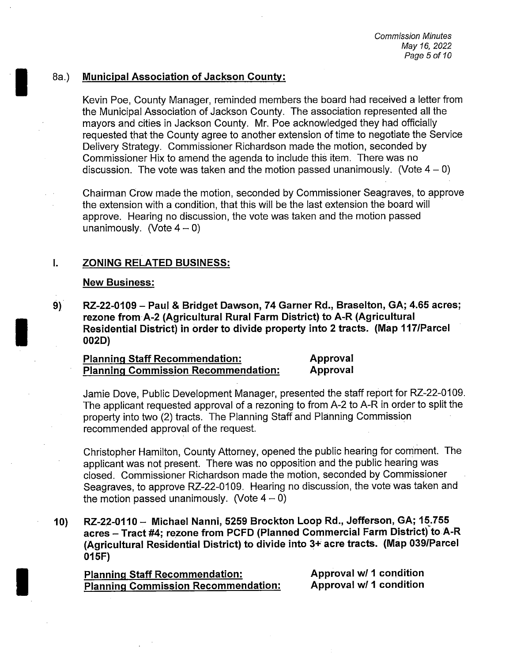#### 8a.) Municipal Association of Jackson County:

Kevin Poe, County Manager, reminded members the board had received a letter from the Municipal Association of Jackson County. The association represented all the mayors and cities in Jackson County. Mr. Poe acknowledged they had officially requested that the County agree to another extension of time to negotiate the Service Delivery Strategy. Commissioner Richardson made the motion, seconded by Commissioner Hix to amend the agenda to include this item. There was no discussion. The vote was taken and the motion passed unanimously. (Vote  $4-0$ )

Chairman Crow made the motion, seconded by Commissioner Seagraves, to approve the extension with a condition, that this will be the last extension the board will approve. Hearing no discussion, the vote was taken and the motion passed unanimously. (Vote  $4-0$ )

#### I. ZONING RELATED BUSINESS:

#### New Business:

9) RZ-22-0109 — Paul & Bridget Dawson, 74 Garner Rd., Braselton, GA; 4.65 acres; rezone from A-2 (Agricultural Rural Farm District) to A-R (Agricultural Residential District) in order to divide property into <sup>2</sup> tracts. (Map 117/Parcel 002D)

Planning Staff Recommendation: Approval Planning Commission Recommendation:

Jamie Dove, Public Development Manager, presented the staff report for RZ-22-0109. The applicant requested approval of a rezoning to from A-2 to A-R in order to split the property into two (2) tracts. The Planning Staff and Planning Commission recommended approval of the request.

Christopher Hamilton, County Attorney, opened the public hearing for comment. The applicant was not present. There was no opposition and the public hearing was closed. Commissioner Richardson made the motion, seconded by Commissioner Seagraves, to approve RZ-22- 0109. Hearing no discussion, the vote was taken and the motion passed unanimously. (Vote  $4 - 0$ )

10) RZ-22-0110 - Michael Nanni, 5259 Brockton Loop Rd., Jefferson, GA; 15.755 acres - Tract #4; rezone from PCFD (Planned Commercial Farm District) to A-R (Agricultural Residential District) to divide into 3+ acre tracts. (Map 039/Parcel 015F)

Planning Staff Recommendation: Approval w/ 1 condition Planning Commission Recommendation: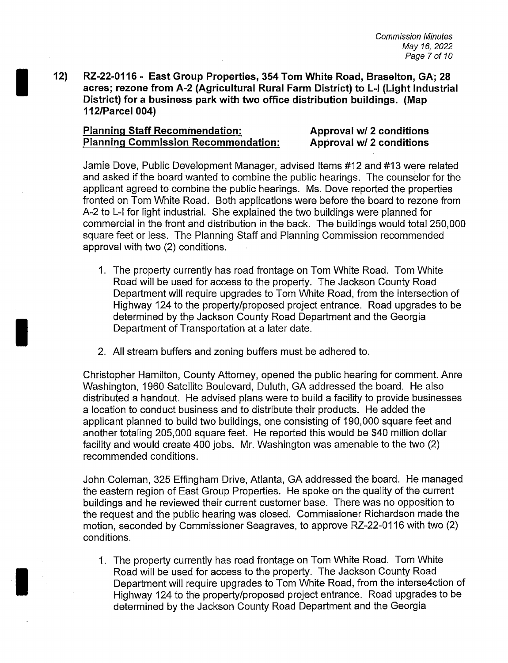12) RZ-22- 0116 - East Group Properties, 354 Tom White Road, Braselton, GA; 28 acres; rezone from A-2 ( Agricultural Rural Farm District) to L-I ( Light Industrial District) for <sup>a</sup> business park with two office distribution buildings. (Map 112/Parcel 004)

## Planning Staff Recommendation: Approval w/ 2 conditions Planning Commission Recommendation: Approval w/ 2 conditions

Jamie Dove, Public Development Manager, advised Items #12 and #13 were related and asked if the board wanted to combine the public hearings. The counselor for the applicant agreed to combine the public hearings. Ms. Dove reported the properties fronted on Tom White Road. Both applications were before the board to rezone from A-2 to L-<sup>I</sup> for light industrial. She explained the two buildings were planned for commercial in the front and distribution in the back. The buildings would total 250, 000 square feet or less. The Planning Staff and Planning Commission recommended approval with two (2) conditions.

- 1. The property currently has road frontage on Tom White Road. Tom White Road will be used for access to the property. The Jackson County Road Department will require upgrades to Tom White Road, from the intersection of Highway 124 to the property/proposed project entrance. Road upgrades to be determined by the Jackson County Road Department and the Georgia Department of Transportation at a later date.
- 2. All stream buffers and zoning buffers must be adhered to.

Christopher Hamilton, County Attorney, opened the public hearing for comment. Anre Washington, 1960 Satellite Boulevard, Duluth, GA addressed the board. He also distributed <sup>a</sup> handout. He advised plans were to build a facility to provide businesses a location to conduct business and to distribute their products. He added the applicant planned to build two buildings, one consisting of 190,000 square feet and another totaling 205,000 square feet. He reported this would be \$40 million dollar facility and would create 400 jobs. Mr. Washington was amenable to the two (2) recommended conditions.

John. Coleman, 325 Effingham Drive, Atlanta, GA addressed the board. He managed the eastern region of East Group Properties. He spoke on the quality of the current buildings and he reviewed their current customer base. There was no opposition to the request and the public hearing was closed. Commissioner Richardson made the motion, seconded by Commissioner Seagraves, to approve RZ-22- 0116 with two (2) conditions.

1. The property currently has road frontage on Tom White Road. Tom White Road will be used for access to the property. The Jackson County Road Department will require upgrades to Tom White Road, from the interse4ction of Highway 124 to the property/proposed project entrance. Road upgrades to be determined by the Jackson County Road Department and the Georgia